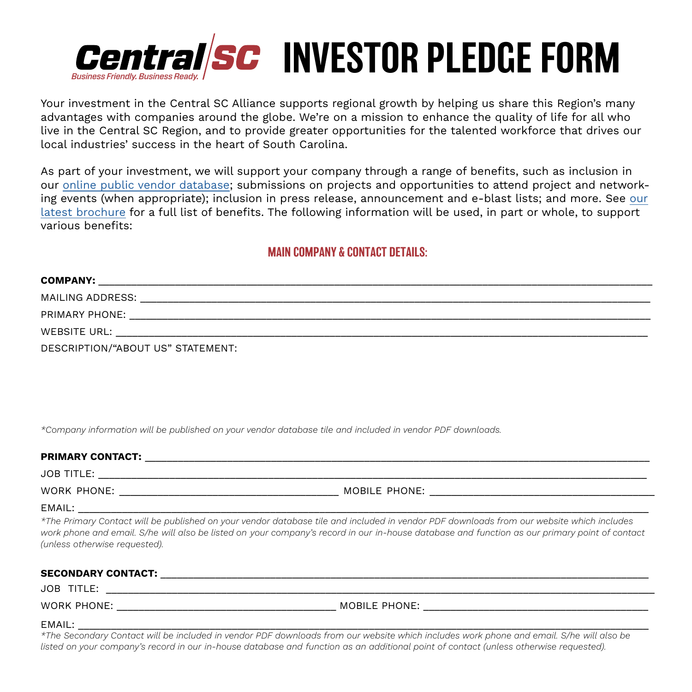

Your investment in the Central SC Alliance supports regional growth by helping us share this Region's many advantages with companies around the globe. We're on a mission to enhance the quality of life for all who live in the Central SC Region, and to provide greater opportunities for the talented workforce that drives our local industries' success in the heart of South Carolina.

As part of your investment, we will support your company through a range of benefits, such as inclusion in our [online public vendor database](https://www.centralsc.org/local-vendors); submissions on projects and opportunities to attend project and networking events (when appropriate); inclusion in press release, announcement and e-blast lists; and more. See [our](https://issuu.com/centralsc/docs/investing_in_the_central_sc_alliance_brochure_2021)  [latest brochure](https://issuu.com/centralsc/docs/investing_in_the_central_sc_alliance_brochure_2021) for a full list of benefits. The following information will be used, in part or whole, to support various benefits:

# MAIN COMPANY & CONTACT DETAILS:

| <b>COMPANY:</b>                                                                                                                                                                                                                                                     |  |  |
|---------------------------------------------------------------------------------------------------------------------------------------------------------------------------------------------------------------------------------------------------------------------|--|--|
| MAILING ADDRESS:                                                                                                                                                                                                                                                    |  |  |
| PRIMARY PHONE:                                                                                                                                                                                                                                                      |  |  |
| WEBSITE URL:                                                                                                                                                                                                                                                        |  |  |
| $R = 2.2R + 1.2R + 1.2R + 2.2R + 1.2R + 2.2R + 1.2R + 1.2R + 1.2R + 1.2R + 1.2R + 1.2R + 1.2R + 1.2R + 1.2R + 1.2R + 1.2R + 1.2R + 1.2R + 1.2R + 1.2R + 1.2R + 1.2R + 1.2R + 1.2R + 1.2R + 1.2R + 1.2R + 1.2R + 1.2R + 1.2R + 1.2R + 1.2R + 1.2R + 1.2R + 1.2R + 1$ |  |  |

DESCRIPTION/"ABOUT US" STATEMENT:

*\*Company information will be published on your vendor database tile and included in vendor PDF downloads.*

### PRIMARY CONTACT: \_\_\_\_\_\_\_\_\_\_\_\_\_\_\_\_\_\_\_\_\_\_\_\_\_\_\_\_\_\_\_\_\_\_\_\_\_\_\_\_\_\_\_\_\_\_\_\_\_\_\_\_\_\_\_\_\_\_\_\_\_\_\_\_\_\_\_\_\_\_\_\_\_\_\_\_\_\_\_\_\_\_\_\_\_\_\_\_\_\_\_\_

JOB TITLE: \_\_\_\_\_\_\_\_\_\_\_\_\_\_\_\_\_\_\_\_\_\_\_\_\_\_\_\_\_\_\_\_\_\_\_\_\_\_\_\_\_\_\_\_\_\_\_\_\_\_\_\_\_\_\_\_\_\_\_\_\_\_\_\_\_\_\_\_\_\_\_\_\_\_\_\_\_\_\_\_\_\_\_\_\_\_\_\_\_\_\_\_\_\_\_\_\_\_\_\_

WORK PHONE: \_\_\_\_\_\_\_\_\_\_\_\_\_\_\_\_\_\_\_\_\_\_\_\_\_\_\_\_\_\_\_\_\_\_\_\_\_\_\_\_ MOBILE PHONE: \_\_\_\_\_\_\_\_\_\_\_\_\_\_\_\_\_\_\_\_\_\_\_\_\_\_\_\_\_\_\_\_\_\_\_\_\_\_\_\_\_

#### EMAIL: \_\_\_\_\_\_\_\_\_\_\_\_\_\_\_\_\_\_\_\_\_\_\_\_\_\_\_\_\_\_\_\_\_\_\_\_\_\_\_\_\_\_\_\_\_\_\_\_\_\_\_\_\_\_\_\_\_\_\_\_\_\_\_\_\_\_\_\_\_\_\_\_\_\_\_\_\_\_\_\_\_\_\_\_\_\_\_\_\_\_\_\_\_\_\_\_\_\_\_\_\_\_\_\_

*\*The Primary Contact will be published on your vendor database tile and included in vendor PDF downloads from our website which includes work phone and email. S/he will also be listed on your company's record in our in-house database and function as our primary point of contact (unless otherwise requested).*

#### SECONDARY CONTACT: with a second of the second of the second of the second of the second of the second of the second of the second of the second of the second of the second of the second of the second of the second of the

JOB TITLE: \_\_\_\_\_\_\_\_\_\_\_\_\_\_\_\_\_\_\_\_\_\_\_\_\_\_\_\_\_\_\_\_\_\_\_\_\_\_\_\_\_\_\_\_\_\_\_\_\_\_\_\_\_\_\_\_\_\_\_\_\_\_\_\_\_\_\_\_\_\_\_\_\_\_\_\_\_\_\_\_\_\_\_\_\_\_\_\_\_\_\_\_\_\_\_\_\_\_\_\_

WORK PHONE: THE RESERVE OF THE RESERVE OF THE RESERVE OF THE RESERVE OF THE RESERVE OF THE RESERVE OF THE RESERVE OF THE RESERVE OF THE RESERVE OF THE RESERVE OF THE RESERVE OF THE RESERVE OF THE RESERVE OF THE RESERVE OF

### EMAIL: \_\_\_\_\_\_\_\_\_\_\_\_\_\_\_\_\_\_\_\_\_\_\_\_\_\_\_\_\_\_\_\_\_\_\_\_\_\_\_\_\_\_\_\_\_\_\_\_\_\_\_\_\_\_\_\_\_\_\_\_\_\_\_\_\_\_\_\_\_\_\_\_\_\_\_\_\_\_\_\_\_\_\_\_\_\_\_\_\_\_\_\_\_\_\_\_\_\_\_\_\_\_\_\_

*\*The Secondary Contact will be included in vendor PDF downloads from our website which includes work phone and email. S/he will also be listed on your company's record in our in-house database and function as an additional point of contact (unless otherwise requested).*